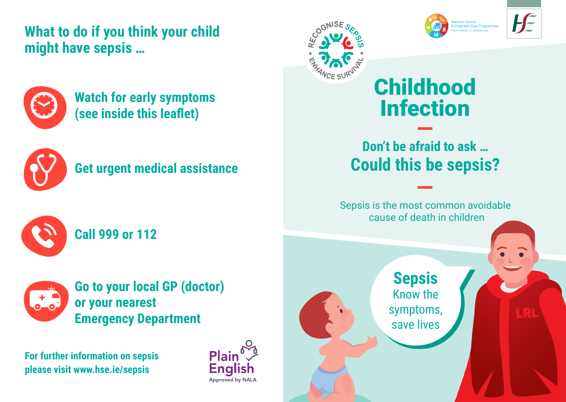**What to do if you think your child might have sepsis …**



**Watch for early symptoms (see inside this leaflet)** 



## **Get urgent medical assistance**



**Call 999 or 112** 



**Go to your local GP (doctor) or your nearest Emergency Department**

**For further information on sepsis please visit www.hse.ie/sepsis**









# Childhood Infection

## **Don't be afraid to ask … Could this be sepsis?**

Sepsis is the most common avoidable cause of death in children

> **Sepsis** Know the symptoms, save lives